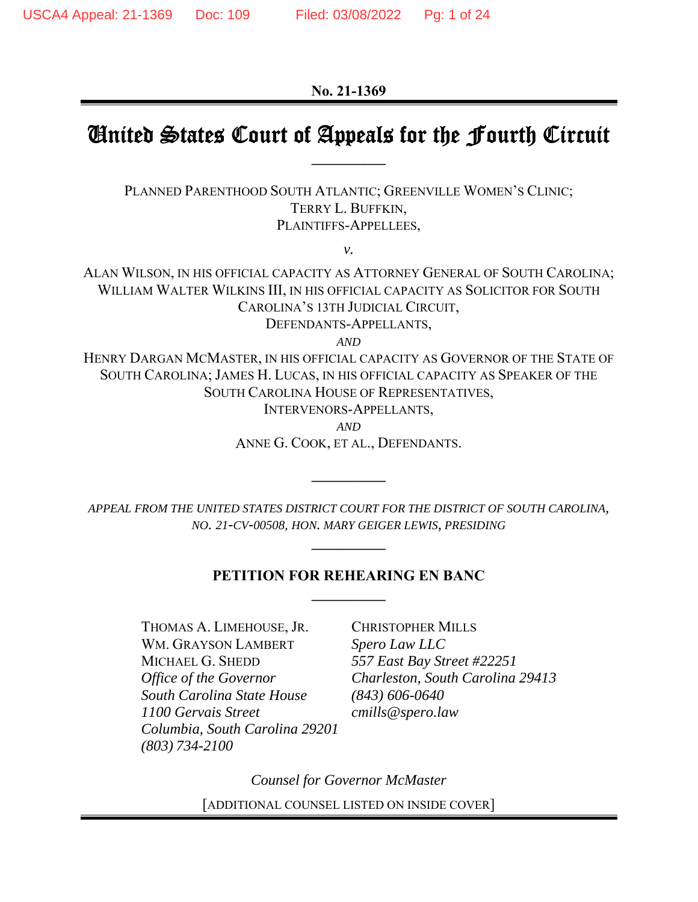**No. 21-1369** 

### United States Court of Appeals for the Fourth Circuit **\_\_\_\_\_\_\_\_\_\_**

PLANNED PARENTHOOD SOUTH ATLANTIC; GREENVILLE WOMEN'S CLINIC; TERRY L. BUFFKIN, PLAINTIFFS-APPELLEES,

*v.* 

ALAN WILSON, IN HIS OFFICIAL CAPACITY AS ATTORNEY GENERAL OF SOUTH CAROLINA; WILLIAM WALTER WILKINS III, IN HIS OFFICIAL CAPACITY AS SOLICITOR FOR SOUTH CAROLINA'S 13TH JUDICIAL CIRCUIT, DEFENDANTS-APPELLANTS,

*AND*

HENRY DARGAN MCMASTER, IN HIS OFFICIAL CAPACITY AS GOVERNOR OF THE STATE OF SOUTH CAROLINA; JAMES H. LUCAS, IN HIS OFFICIAL CAPACITY AS SPEAKER OF THE SOUTH CAROLINA HOUSE OF REPRESENTATIVES,

INTERVENORS-APPELLANTS,

*AND*

ANNE G. COOK, ET AL., DEFENDANTS.

**\_\_\_\_\_\_\_\_\_\_** 

*APPEAL FROM THE UNITED STATES DISTRICT COURT FOR THE DISTRICT OF SOUTH CAROLINA, NO. 21-CV-00508, HON. MARY GEIGER LEWIS, PRESIDING*

**\_\_\_\_\_\_\_\_\_\_** 

#### **PETITION FOR REHEARING EN BANC \_\_\_\_\_\_\_\_\_\_**

THOMAS A. LIMEHOUSE, JR. CHRISTOPHER MILLS WM. GRAYSON LAMBERT *Spero Law LLC* MICHAEL G. SHEDD *557 East Bay Street #22251 South Carolina State House (843) 606-0640 1100 Gervais Street cmills@spero.law Columbia, South Carolina 29201 (803) 734-2100* 

*Office of the Governor Charleston, South Carolina 29413* 

*Counsel for Governor McMaster*  [ADDITIONAL COUNSEL LISTED ON INSIDE COVER]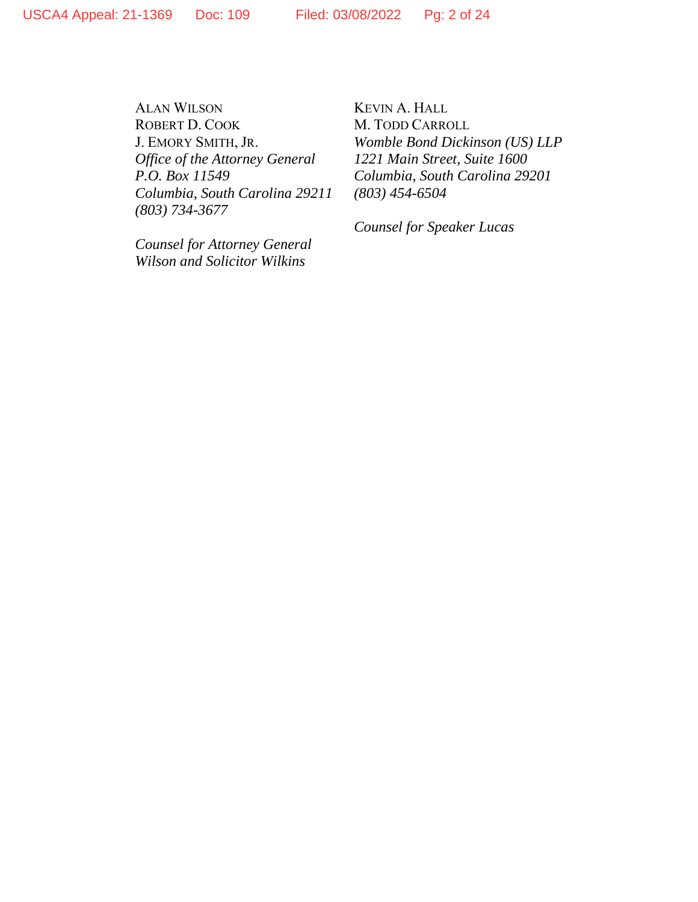ALAN WILSON KEVIN A. HALL ROBERT D. COOK M. TODD CARROLL *Office of the Attorney General Columbia, South Carolina 29211 (803) 454-6504 (803) 734-3677* 

*Counsel for Attorney General Wilson and Solicitor Wilkins* 

J. EMORY SMITH, JR. *Womble Bond Dickinson (US) LLP P.O. Box 11549 Columbia, South Carolina 29201* 

 *Counsel for Speaker Lucas*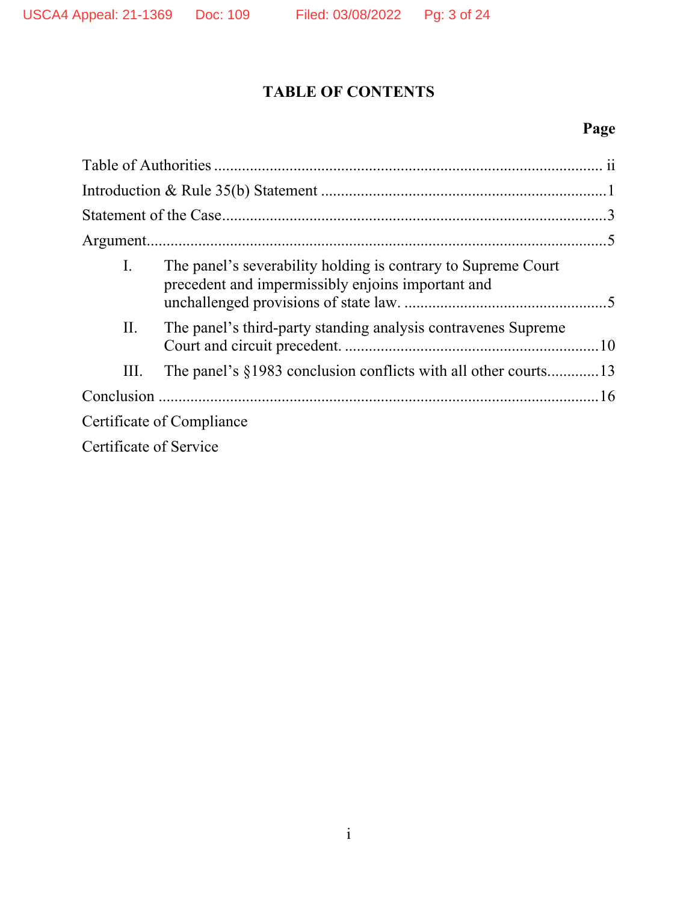# **TABLE OF CONTENTS**

# **Page**

| $\mathbf{I}$ .         | The panel's severability holding is contrary to Supreme Court<br>precedent and impermissibly enjoins important and |  |
|------------------------|--------------------------------------------------------------------------------------------------------------------|--|
| II.                    | The panel's third-party standing analysis contravenes Supreme                                                      |  |
| III.                   | The panel's §1983 conclusion conflicts with all other courts13                                                     |  |
|                        |                                                                                                                    |  |
|                        | Certificate of Compliance                                                                                          |  |
| Certificate of Service |                                                                                                                    |  |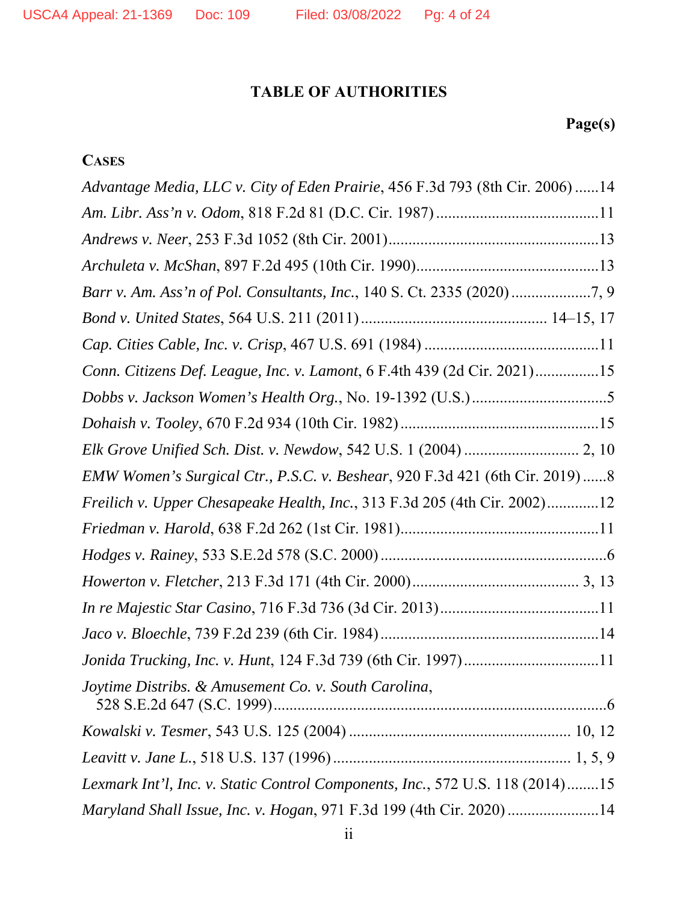## **TABLE OF AUTHORITIES**

# **Page(s)**

## **CASES**

| Advantage Media, LLC v. City of Eden Prairie, 456 F.3d 793 (8th Cir. 2006) 14 |
|-------------------------------------------------------------------------------|
|                                                                               |
|                                                                               |
|                                                                               |
|                                                                               |
|                                                                               |
|                                                                               |
| Conn. Citizens Def. League, Inc. v. Lamont, 6 F.4th 439 (2d Cir. 2021)15      |
|                                                                               |
|                                                                               |
|                                                                               |
| EMW Women's Surgical Ctr., P.S.C. v. Beshear, 920 F.3d 421 (6th Cir. 2019) 8  |
| Freilich v. Upper Chesapeake Health, Inc., 313 F.3d 205 (4th Cir. 2002)12     |
|                                                                               |
|                                                                               |
|                                                                               |
|                                                                               |
|                                                                               |
| Jonida Trucking, Inc. v. Hunt, 124 F.3d 739 (6th Cir. 1997)11                 |
| Joytime Distribs. & Amusement Co. v. South Carolina,                          |
|                                                                               |
|                                                                               |
| Lexmark Int'l, Inc. v. Static Control Components, Inc., 572 U.S. 118 (2014)15 |
| Maryland Shall Issue, Inc. v. Hogan, 971 F.3d 199 (4th Cir. 2020) 14          |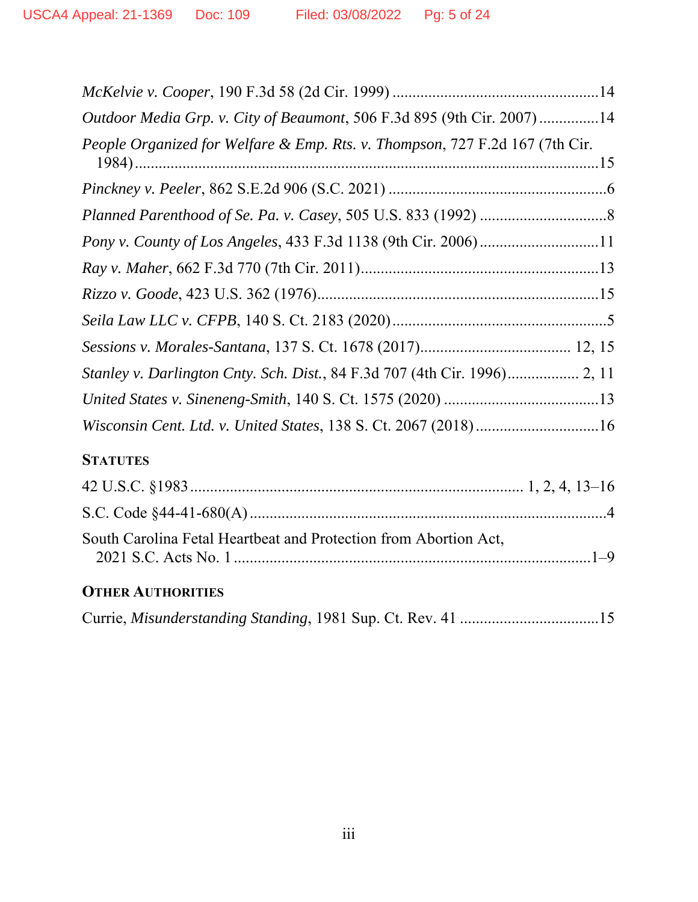| Outdoor Media Grp. v. City of Beaumont, 506 F.3d 895 (9th Cir. 2007)14       |
|------------------------------------------------------------------------------|
| People Organized for Welfare & Emp. Rts. v. Thompson, 727 F.2d 167 (7th Cir. |
|                                                                              |
|                                                                              |
|                                                                              |
|                                                                              |
|                                                                              |
|                                                                              |
|                                                                              |
| Stanley v. Darlington Cnty. Sch. Dist., 84 F.3d 707 (4th Cir. 1996) 2, 11    |
|                                                                              |
| Wisconsin Cent. Ltd. v. United States, 138 S. Ct. 2067 (2018)16              |
| <b>STATUTES</b>                                                              |
|                                                                              |
|                                                                              |
| South Carolina Fetal Heartbeat and Protection from Abortion Act,             |

# **OTHER AUTHORITIES**

2021 S.C. Acts No. 1 ..........................................................................................1–9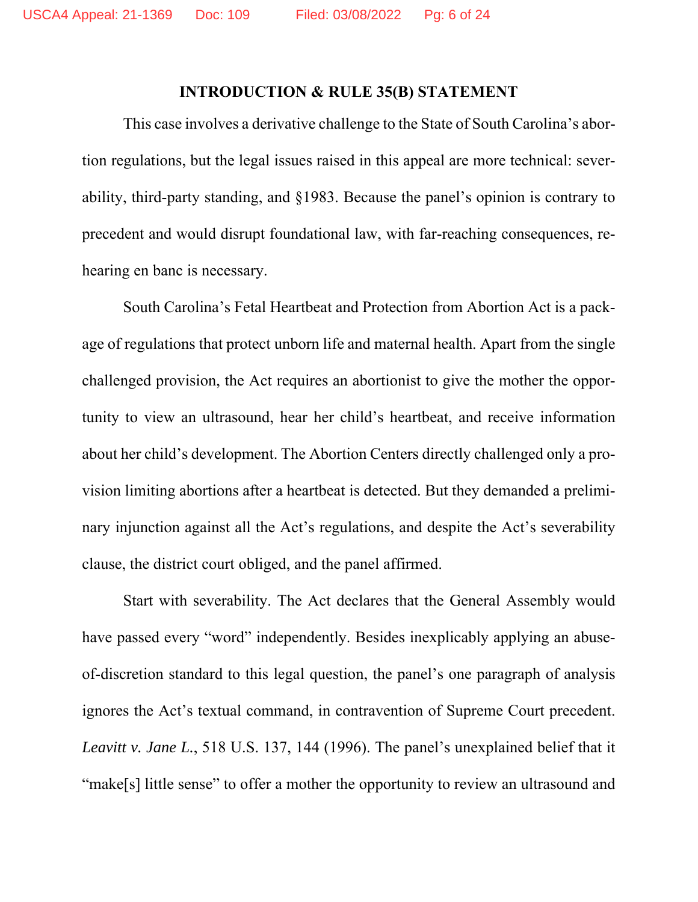#### **INTRODUCTION & RULE 35(B) STATEMENT**

This case involves a derivative challenge to the State of South Carolina's abortion regulations, but the legal issues raised in this appeal are more technical: severability, third-party standing, and §1983. Because the panel's opinion is contrary to precedent and would disrupt foundational law, with far-reaching consequences, rehearing en banc is necessary.

South Carolina's Fetal Heartbeat and Protection from Abortion Act is a package of regulations that protect unborn life and maternal health. Apart from the single challenged provision, the Act requires an abortionist to give the mother the opportunity to view an ultrasound, hear her child's heartbeat, and receive information about her child's development. The Abortion Centers directly challenged only a provision limiting abortions after a heartbeat is detected. But they demanded a preliminary injunction against all the Act's regulations, and despite the Act's severability clause, the district court obliged, and the panel affirmed.

Start with severability. The Act declares that the General Assembly would have passed every "word" independently. Besides inexplicably applying an abuseof-discretion standard to this legal question, the panel's one paragraph of analysis ignores the Act's textual command, in contravention of Supreme Court precedent. *Leavitt v. Jane L.*, 518 U.S. 137, 144 (1996). The panel's unexplained belief that it "make[s] little sense" to offer a mother the opportunity to review an ultrasound and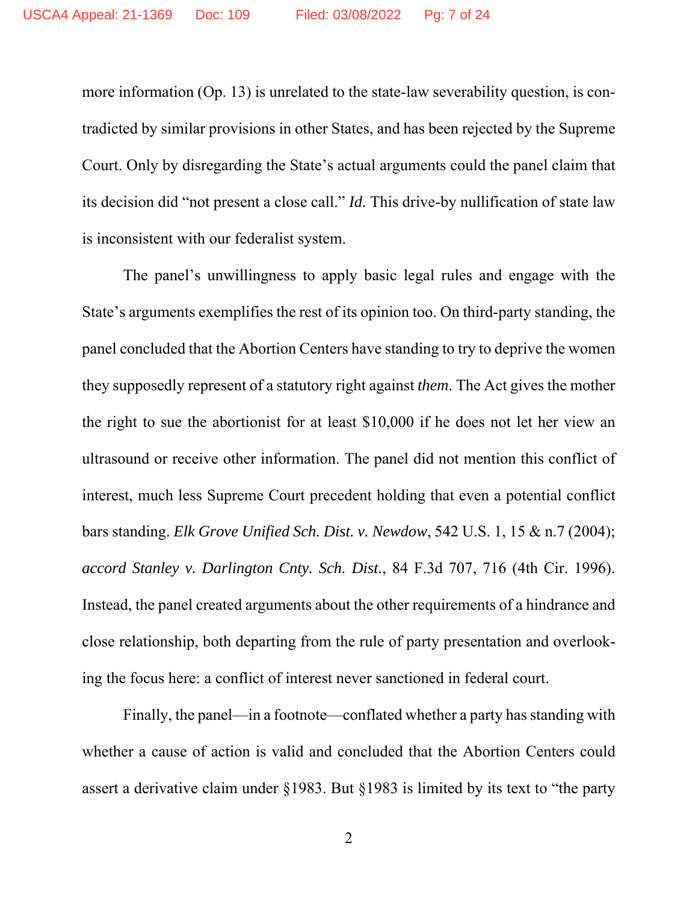more information (Op. 13) is unrelated to the state-law severability question, is contradicted by similar provisions in other States, and has been rejected by the Supreme Court. Only by disregarding the State's actual arguments could the panel claim that its decision did "not present a close call." *Id.* This drive-by nullification of state law is inconsistent with our federalist system.

The panel's unwillingness to apply basic legal rules and engage with the State's arguments exemplifies the rest of its opinion too. On third-party standing, the panel concluded that the Abortion Centers have standing to try to deprive the women they supposedly represent of a statutory right against *them*. The Act gives the mother the right to sue the abortionist for at least \$10,000 if he does not let her view an ultrasound or receive other information. The panel did not mention this conflict of interest, much less Supreme Court precedent holding that even a potential conflict bars standing. *Elk Grove Unified Sch. Dist. v. Newdow*, 542 U.S. 1, 15 & n.7 (2004); *accord Stanley v. Darlington Cnty. Sch. Dist.*, 84 F.3d 707, 716 (4th Cir. 1996). Instead, the panel created arguments about the other requirements of a hindrance and close relationship, both departing from the rule of party presentation and overlooking the focus here: a conflict of interest never sanctioned in federal court.

Finally, the panel—in a footnote—conflated whether a party has standing with whether a cause of action is valid and concluded that the Abortion Centers could assert a derivative claim under §1983. But §1983 is limited by its text to "the party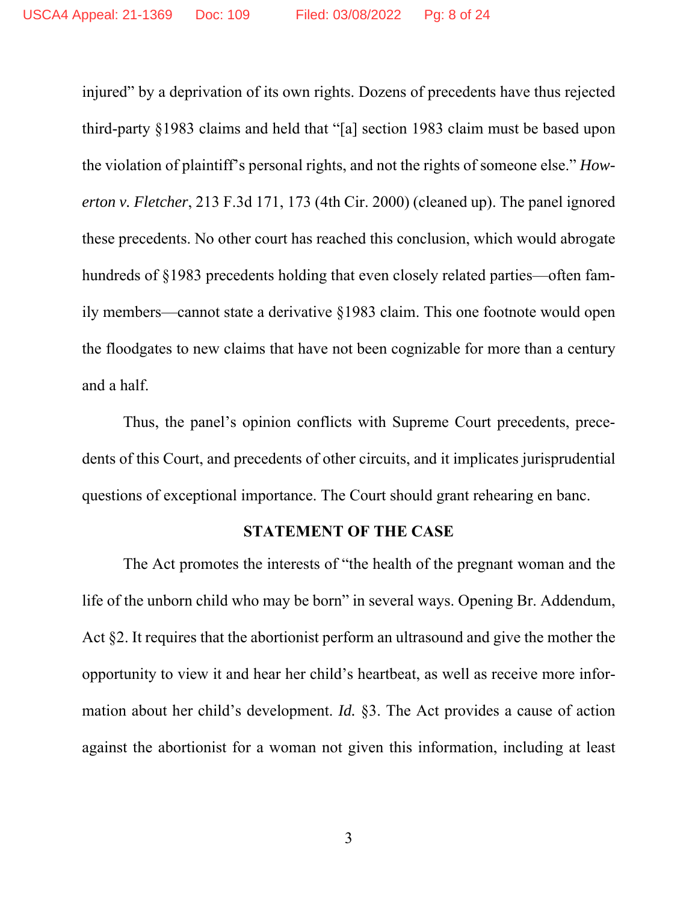injured" by a deprivation of its own rights. Dozens of precedents have thus rejected third-party §1983 claims and held that "[a] section 1983 claim must be based upon the violation of plaintiff's personal rights, and not the rights of someone else." *Howerton v. Fletcher*, 213 F.3d 171, 173 (4th Cir. 2000) (cleaned up). The panel ignored these precedents. No other court has reached this conclusion, which would abrogate hundreds of §1983 precedents holding that even closely related parties—often family members—cannot state a derivative §1983 claim. This one footnote would open the floodgates to new claims that have not been cognizable for more than a century and a half.

Thus, the panel's opinion conflicts with Supreme Court precedents, precedents of this Court, and precedents of other circuits, and it implicates jurisprudential questions of exceptional importance. The Court should grant rehearing en banc.

#### **STATEMENT OF THE CASE**

The Act promotes the interests of "the health of the pregnant woman and the life of the unborn child who may be born" in several ways. Opening Br. Addendum, Act §2. It requires that the abortionist perform an ultrasound and give the mother the opportunity to view it and hear her child's heartbeat, as well as receive more information about her child's development. *Id.* §3. The Act provides a cause of action against the abortionist for a woman not given this information, including at least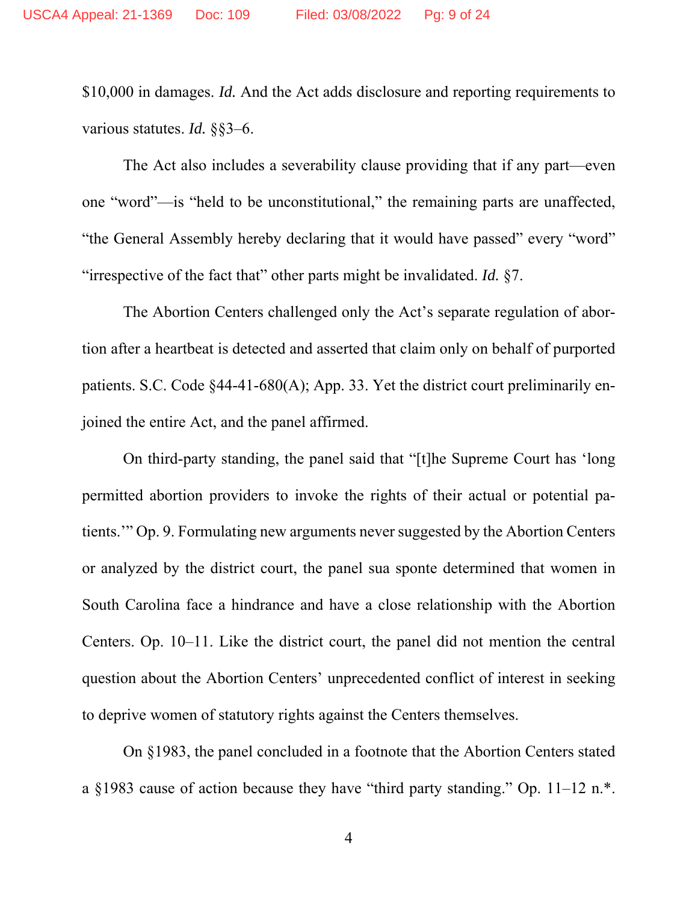\$10,000 in damages. *Id.* And the Act adds disclosure and reporting requirements to various statutes. *Id.* §§3–6.

The Act also includes a severability clause providing that if any part—even one "word"—is "held to be unconstitutional," the remaining parts are unaffected, "the General Assembly hereby declaring that it would have passed" every "word" "irrespective of the fact that" other parts might be invalidated. *Id.* §7.

The Abortion Centers challenged only the Act's separate regulation of abortion after a heartbeat is detected and asserted that claim only on behalf of purported patients. S.C. Code §44-41-680(A); App. 33. Yet the district court preliminarily enjoined the entire Act, and the panel affirmed.

On third-party standing, the panel said that "[t]he Supreme Court has 'long permitted abortion providers to invoke the rights of their actual or potential patients.'" Op. 9. Formulating new arguments never suggested by the Abortion Centers or analyzed by the district court, the panel sua sponte determined that women in South Carolina face a hindrance and have a close relationship with the Abortion Centers. Op. 10–11. Like the district court, the panel did not mention the central question about the Abortion Centers' unprecedented conflict of interest in seeking to deprive women of statutory rights against the Centers themselves.

On §1983, the panel concluded in a footnote that the Abortion Centers stated a §1983 cause of action because they have "third party standing." Op. 11–12 n.\*.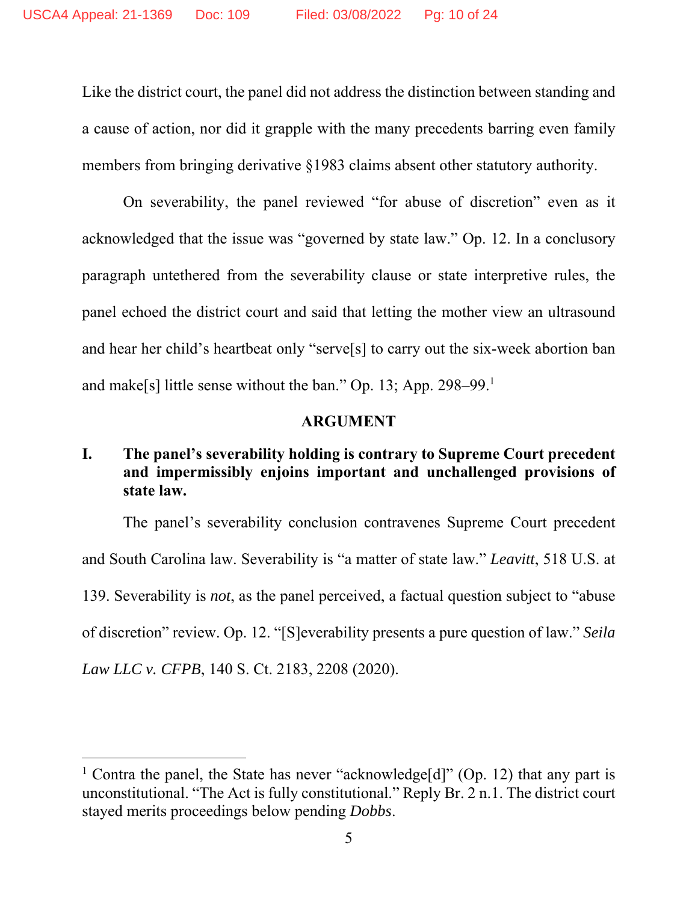Like the district court, the panel did not address the distinction between standing and a cause of action, nor did it grapple with the many precedents barring even family members from bringing derivative §1983 claims absent other statutory authority.

On severability, the panel reviewed "for abuse of discretion" even as it acknowledged that the issue was "governed by state law." Op. 12. In a conclusory paragraph untethered from the severability clause or state interpretive rules, the panel echoed the district court and said that letting the mother view an ultrasound and hear her child's heartbeat only "serve[s] to carry out the six-week abortion ban and make[s] little sense without the ban." Op. 13; App. 298–99.1

#### **ARGUMENT**

### **I. The panel's severability holding is contrary to Supreme Court precedent and impermissibly enjoins important and unchallenged provisions of state law.**

The panel's severability conclusion contravenes Supreme Court precedent and South Carolina law. Severability is "a matter of state law." *Leavitt*, 518 U.S. at 139. Severability is *not*, as the panel perceived, a factual question subject to "abuse of discretion" review. Op. 12. "[S]everability presents a pure question of law." *Seila Law LLC v. CFPB*, 140 S. Ct. 2183, 2208 (2020).

<sup>&</sup>lt;sup>1</sup> Contra the panel, the State has never "acknowledge[d]" (Op. 12) that any part is unconstitutional. "The Act is fully constitutional." Reply Br. 2 n.1. The district court stayed merits proceedings below pending *Dobbs*.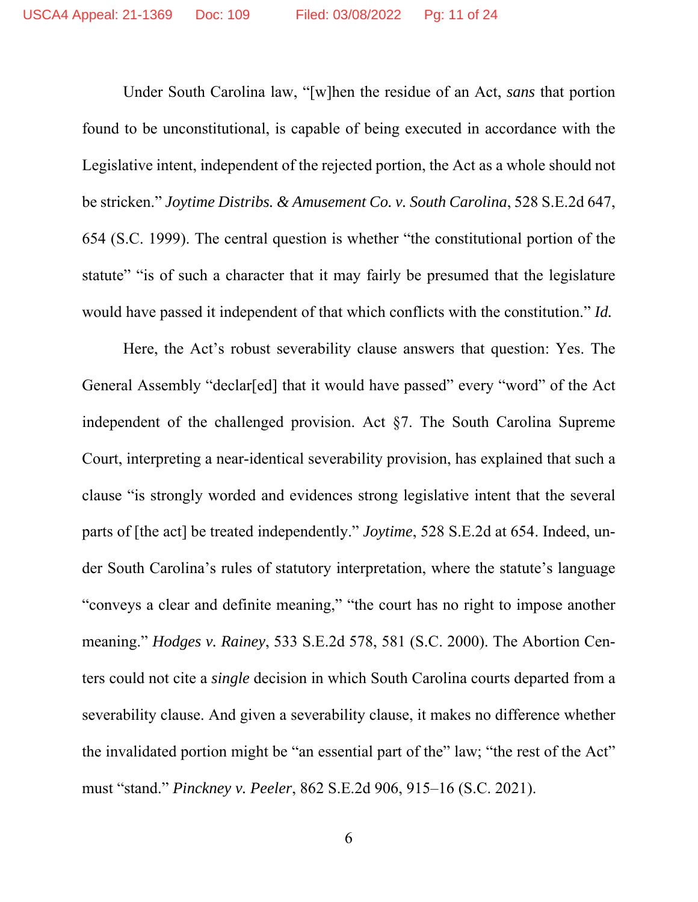Under South Carolina law, "[w]hen the residue of an Act, *sans* that portion found to be unconstitutional, is capable of being executed in accordance with the Legislative intent, independent of the rejected portion, the Act as a whole should not be stricken." *Joytime Distribs. & Amusement Co. v. South Carolina*, 528 S.E.2d 647, 654 (S.C. 1999). The central question is whether "the constitutional portion of the statute" "is of such a character that it may fairly be presumed that the legislature would have passed it independent of that which conflicts with the constitution." *Id.*

Here, the Act's robust severability clause answers that question: Yes. The General Assembly "declar[ed] that it would have passed" every "word" of the Act independent of the challenged provision. Act §7. The South Carolina Supreme Court, interpreting a near-identical severability provision, has explained that such a clause "is strongly worded and evidences strong legislative intent that the several parts of [the act] be treated independently." *Joytime*, 528 S.E.2d at 654. Indeed, under South Carolina's rules of statutory interpretation, where the statute's language "conveys a clear and definite meaning," "the court has no right to impose another meaning." *Hodges v. Rainey*, 533 S.E.2d 578, 581 (S.C. 2000). The Abortion Centers could not cite a *single* decision in which South Carolina courts departed from a severability clause. And given a severability clause, it makes no difference whether the invalidated portion might be "an essential part of the" law; "the rest of the Act" must "stand." *Pinckney v. Peeler*, 862 S.E.2d 906, 915–16 (S.C. 2021).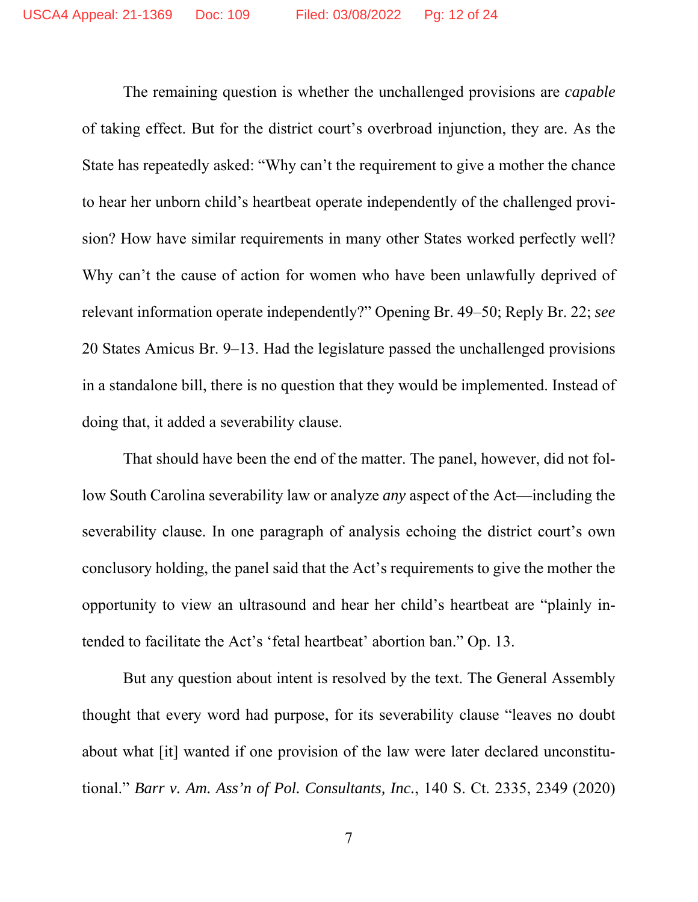The remaining question is whether the unchallenged provisions are *capable* of taking effect. But for the district court's overbroad injunction, they are. As the State has repeatedly asked: "Why can't the requirement to give a mother the chance to hear her unborn child's heartbeat operate independently of the challenged provision? How have similar requirements in many other States worked perfectly well? Why can't the cause of action for women who have been unlawfully deprived of relevant information operate independently?" Opening Br. 49–50; Reply Br. 22; *see* 20 States Amicus Br. 9–13. Had the legislature passed the unchallenged provisions in a standalone bill, there is no question that they would be implemented. Instead of doing that, it added a severability clause.

That should have been the end of the matter. The panel, however, did not follow South Carolina severability law or analyze *any* aspect of the Act—including the severability clause. In one paragraph of analysis echoing the district court's own conclusory holding, the panel said that the Act's requirements to give the mother the opportunity to view an ultrasound and hear her child's heartbeat are "plainly intended to facilitate the Act's 'fetal heartbeat' abortion ban." Op. 13.

But any question about intent is resolved by the text. The General Assembly thought that every word had purpose, for its severability clause "leaves no doubt about what [it] wanted if one provision of the law were later declared unconstitutional." *Barr v. Am. Ass'n of Pol. Consultants, Inc.*, 140 S. Ct. 2335, 2349 (2020)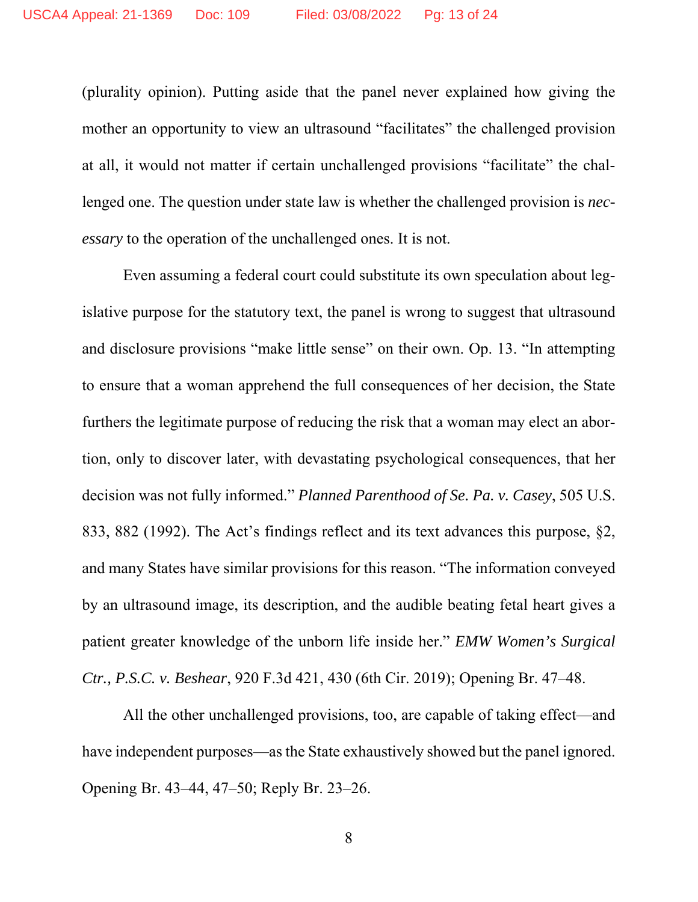(plurality opinion). Putting aside that the panel never explained how giving the mother an opportunity to view an ultrasound "facilitates" the challenged provision at all, it would not matter if certain unchallenged provisions "facilitate" the challenged one. The question under state law is whether the challenged provision is *necessary* to the operation of the unchallenged ones. It is not.

Even assuming a federal court could substitute its own speculation about legislative purpose for the statutory text, the panel is wrong to suggest that ultrasound and disclosure provisions "make little sense" on their own. Op. 13. "In attempting to ensure that a woman apprehend the full consequences of her decision, the State furthers the legitimate purpose of reducing the risk that a woman may elect an abortion, only to discover later, with devastating psychological consequences, that her decision was not fully informed." *Planned Parenthood of Se. Pa. v. Casey*, 505 U.S. 833, 882 (1992). The Act's findings reflect and its text advances this purpose, §2, and many States have similar provisions for this reason. "The information conveyed by an ultrasound image, its description, and the audible beating fetal heart gives a patient greater knowledge of the unborn life inside her." *EMW Women's Surgical Ctr., P.S.C. v. Beshear*, 920 F.3d 421, 430 (6th Cir. 2019); Opening Br. 47–48.

All the other unchallenged provisions, too, are capable of taking effect—and have independent purposes—as the State exhaustively showed but the panel ignored. Opening Br. 43–44, 47–50; Reply Br. 23–26.

8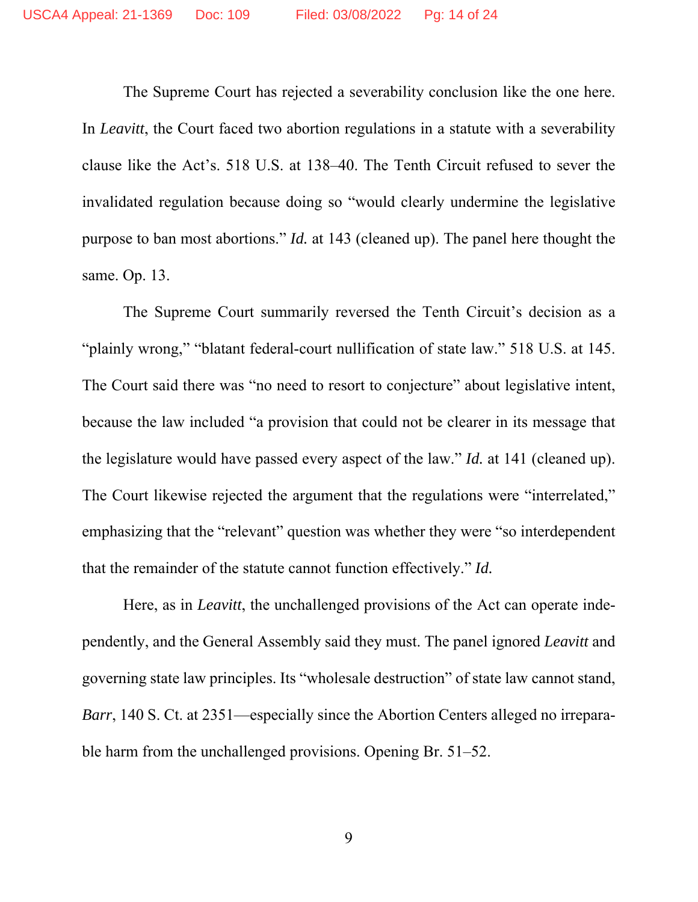The Supreme Court has rejected a severability conclusion like the one here. In *Leavitt*, the Court faced two abortion regulations in a statute with a severability clause like the Act's. 518 U.S. at 138–40. The Tenth Circuit refused to sever the invalidated regulation because doing so "would clearly undermine the legislative purpose to ban most abortions." *Id.* at 143 (cleaned up). The panel here thought the same. Op. 13.

The Supreme Court summarily reversed the Tenth Circuit's decision as a "plainly wrong," "blatant federal-court nullification of state law." 518 U.S. at 145. The Court said there was "no need to resort to conjecture" about legislative intent, because the law included "a provision that could not be clearer in its message that the legislature would have passed every aspect of the law." *Id.* at 141 (cleaned up). The Court likewise rejected the argument that the regulations were "interrelated," emphasizing that the "relevant" question was whether they were "so interdependent that the remainder of the statute cannot function effectively." *Id.*

Here, as in *Leavitt*, the unchallenged provisions of the Act can operate independently, and the General Assembly said they must. The panel ignored *Leavitt* and governing state law principles. Its "wholesale destruction" of state law cannot stand, *Barr*, 140 S. Ct. at 2351—especially since the Abortion Centers alleged no irreparable harm from the unchallenged provisions. Opening Br. 51–52.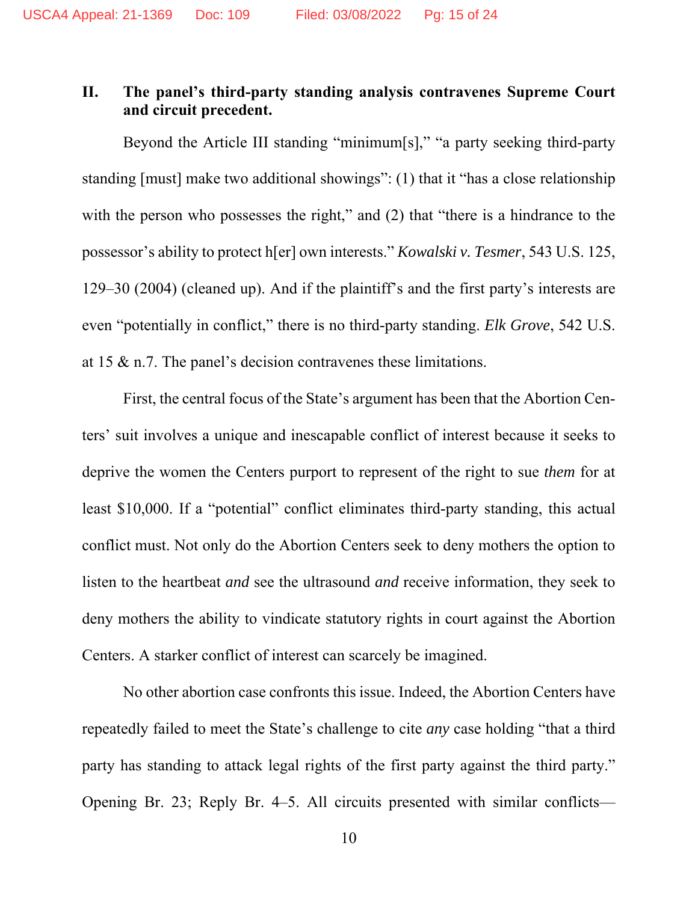### **II. The panel's third-party standing analysis contravenes Supreme Court and circuit precedent.**

Beyond the Article III standing "minimum[s]," "a party seeking third-party standing [must] make two additional showings": (1) that it "has a close relationship with the person who possesses the right," and (2) that "there is a hindrance to the possessor's ability to protect h[er] own interests." *Kowalski v. Tesmer*, 543 U.S. 125, 129–30 (2004) (cleaned up). And if the plaintiff's and the first party's interests are even "potentially in conflict," there is no third-party standing. *Elk Grove*, 542 U.S. at 15 & n.7. The panel's decision contravenes these limitations.

First, the central focus of the State's argument has been that the Abortion Centers' suit involves a unique and inescapable conflict of interest because it seeks to deprive the women the Centers purport to represent of the right to sue *them* for at least \$10,000. If a "potential" conflict eliminates third-party standing, this actual conflict must. Not only do the Abortion Centers seek to deny mothers the option to listen to the heartbeat *and* see the ultrasound *and* receive information, they seek to deny mothers the ability to vindicate statutory rights in court against the Abortion Centers. A starker conflict of interest can scarcely be imagined.

No other abortion case confronts this issue. Indeed, the Abortion Centers have repeatedly failed to meet the State's challenge to cite *any* case holding "that a third party has standing to attack legal rights of the first party against the third party." Opening Br. 23; Reply Br. 4–5. All circuits presented with similar conflicts—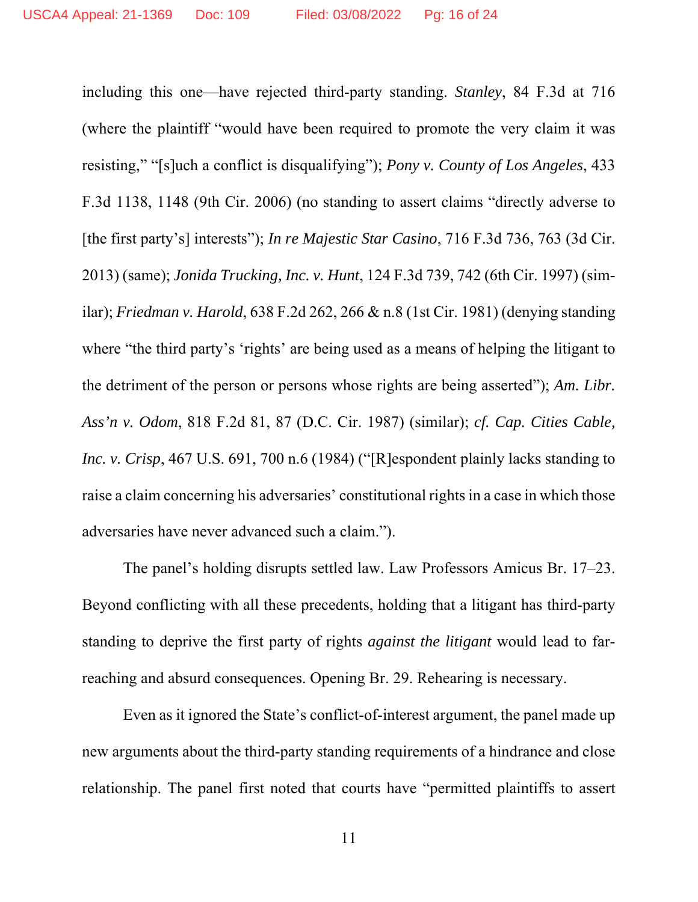including this one—have rejected third-party standing. *Stanley*, 84 F.3d at 716 (where the plaintiff "would have been required to promote the very claim it was resisting," "[s]uch a conflict is disqualifying"); *Pony v. County of Los Angeles*, 433 F.3d 1138, 1148 (9th Cir. 2006) (no standing to assert claims "directly adverse to [the first party's] interests"); *In re Majestic Star Casino*, 716 F.3d 736, 763 (3d Cir. 2013) (same); *Jonida Trucking, Inc. v. Hunt*, 124 F.3d 739, 742 (6th Cir. 1997) (similar); *Friedman v. Harold*, 638 F.2d 262, 266 & n.8 (1st Cir. 1981) (denying standing where "the third party's 'rights' are being used as a means of helping the litigant to the detriment of the person or persons whose rights are being asserted"); *Am. Libr. Ass'n v. Odom*, 818 F.2d 81, 87 (D.C. Cir. 1987) (similar); *cf. Cap. Cities Cable, Inc. v. Crisp*, 467 U.S. 691, 700 n.6 (1984) ("[R]espondent plainly lacks standing to raise a claim concerning his adversaries' constitutional rights in a case in which those adversaries have never advanced such a claim.").

The panel's holding disrupts settled law. Law Professors Amicus Br. 17–23. Beyond conflicting with all these precedents, holding that a litigant has third-party standing to deprive the first party of rights *against the litigant* would lead to farreaching and absurd consequences. Opening Br. 29. Rehearing is necessary.

Even as it ignored the State's conflict-of-interest argument, the panel made up new arguments about the third-party standing requirements of a hindrance and close relationship. The panel first noted that courts have "permitted plaintiffs to assert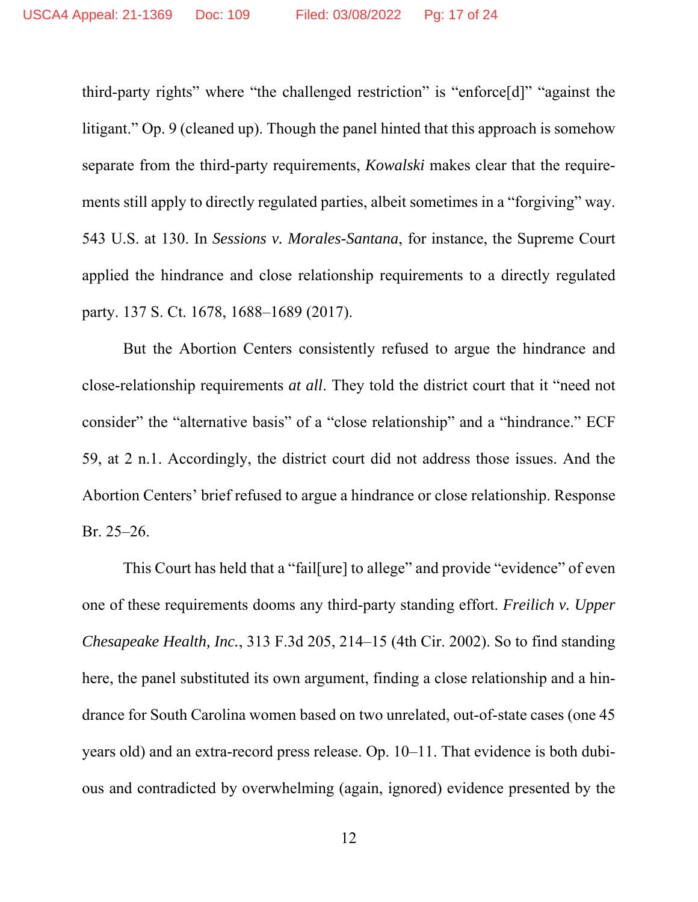third-party rights" where "the challenged restriction" is "enforce[d]" "against the litigant." Op. 9 (cleaned up). Though the panel hinted that this approach is somehow separate from the third-party requirements, *Kowalski* makes clear that the requirements still apply to directly regulated parties, albeit sometimes in a "forgiving" way. 543 U.S. at 130. In *Sessions v. Morales-Santana*, for instance, the Supreme Court applied the hindrance and close relationship requirements to a directly regulated party. 137 S. Ct. 1678, 1688–1689 (2017).

But the Abortion Centers consistently refused to argue the hindrance and close-relationship requirements *at all*. They told the district court that it "need not consider" the "alternative basis" of a "close relationship" and a "hindrance." ECF 59, at 2 n.1. Accordingly, the district court did not address those issues. And the Abortion Centers' brief refused to argue a hindrance or close relationship. Response Br. 25–26.

This Court has held that a "fail[ure] to allege" and provide "evidence" of even one of these requirements dooms any third-party standing effort. *Freilich v. Upper Chesapeake Health, Inc.*, 313 F.3d 205, 214–15 (4th Cir. 2002). So to find standing here, the panel substituted its own argument, finding a close relationship and a hindrance for South Carolina women based on two unrelated, out-of-state cases (one 45 years old) and an extra-record press release. Op. 10–11. That evidence is both dubious and contradicted by overwhelming (again, ignored) evidence presented by the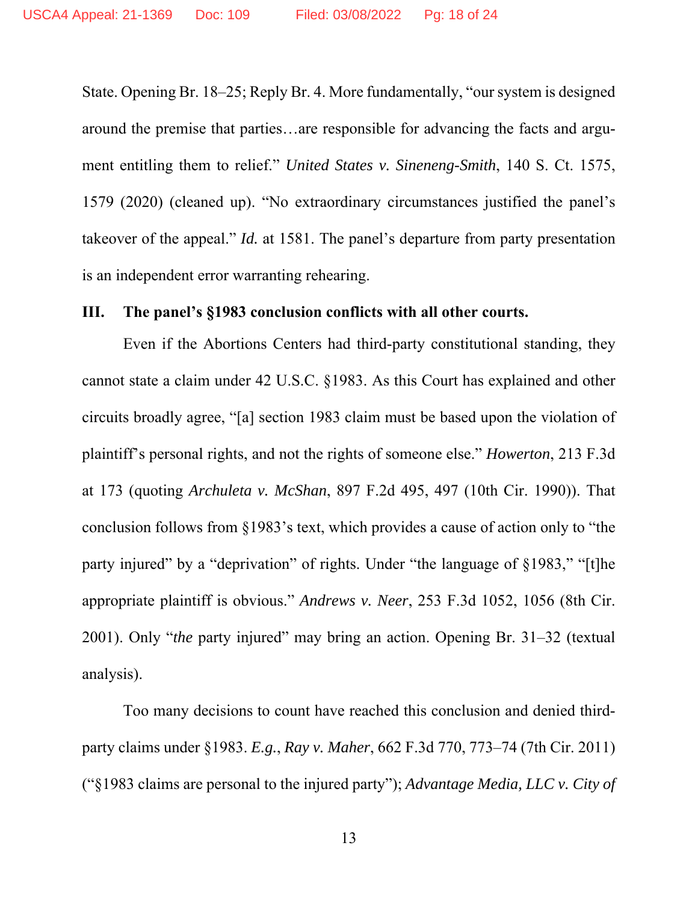State. Opening Br. 18–25; Reply Br. 4. More fundamentally, "our system is designed around the premise that parties…are responsible for advancing the facts and argument entitling them to relief." *United States v. Sineneng-Smith*, 140 S. Ct. 1575, 1579 (2020) (cleaned up). "No extraordinary circumstances justified the panel's takeover of the appeal." *Id.* at 1581. The panel's departure from party presentation is an independent error warranting rehearing.

#### **III. The panel's §1983 conclusion conflicts with all other courts.**

Even if the Abortions Centers had third-party constitutional standing, they cannot state a claim under 42 U.S.C. §1983. As this Court has explained and other circuits broadly agree, "[a] section 1983 claim must be based upon the violation of plaintiff's personal rights, and not the rights of someone else." *Howerton*, 213 F.3d at 173 (quoting *Archuleta v. McShan*, 897 F.2d 495, 497 (10th Cir. 1990)). That conclusion follows from §1983's text, which provides a cause of action only to "the party injured" by a "deprivation" of rights. Under "the language of §1983," "[t]he appropriate plaintiff is obvious." *Andrews v. Neer*, 253 F.3d 1052, 1056 (8th Cir. 2001). Only "*the* party injured" may bring an action. Opening Br. 31–32 (textual analysis).

Too many decisions to count have reached this conclusion and denied thirdparty claims under §1983. *E.g.*, *Ray v. Maher*, 662 F.3d 770, 773–74 (7th Cir. 2011) ("§1983 claims are personal to the injured party"); *Advantage Media, LLC v. City of*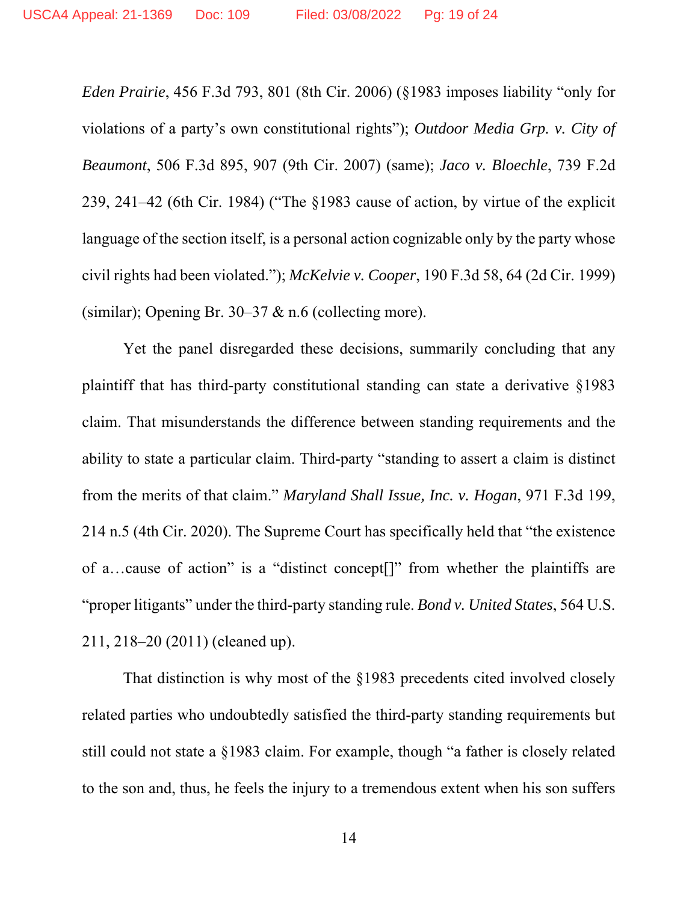*Eden Prairie*, 456 F.3d 793, 801 (8th Cir. 2006) (§1983 imposes liability "only for violations of a party's own constitutional rights"); *Outdoor Media Grp. v. City of Beaumont*, 506 F.3d 895, 907 (9th Cir. 2007) (same); *Jaco v. Bloechle*, 739 F.2d 239, 241–42 (6th Cir. 1984) ("The §1983 cause of action, by virtue of the explicit language of the section itself, is a personal action cognizable only by the party whose civil rights had been violated."); *McKelvie v. Cooper*, 190 F.3d 58, 64 (2d Cir. 1999) (similar); Opening Br. 30–37 & n.6 (collecting more).

Yet the panel disregarded these decisions, summarily concluding that any plaintiff that has third-party constitutional standing can state a derivative §1983 claim. That misunderstands the difference between standing requirements and the ability to state a particular claim. Third-party "standing to assert a claim is distinct from the merits of that claim." *Maryland Shall Issue, Inc. v. Hogan*, 971 F.3d 199, 214 n.5 (4th Cir. 2020). The Supreme Court has specifically held that "the existence of a…cause of action" is a "distinct concept[]" from whether the plaintiffs are "proper litigants" under the third-party standing rule. *Bond v. United States*, 564 U.S. 211, 218–20 (2011) (cleaned up).

That distinction is why most of the §1983 precedents cited involved closely related parties who undoubtedly satisfied the third-party standing requirements but still could not state a §1983 claim. For example, though "a father is closely related to the son and, thus, he feels the injury to a tremendous extent when his son suffers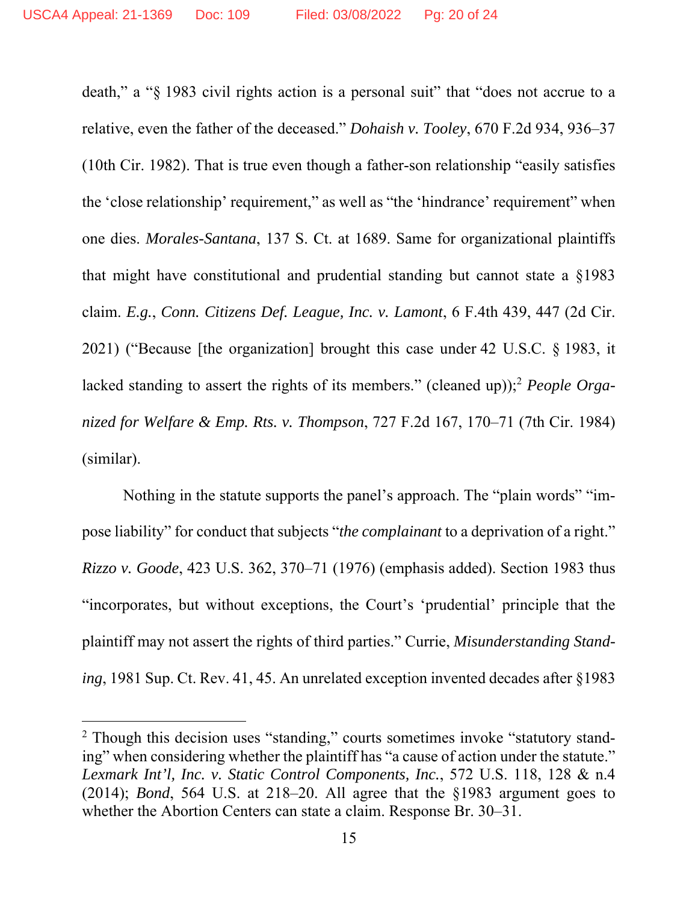death," a "§ 1983 civil rights action is a personal suit" that "does not accrue to a relative, even the father of the deceased." *Dohaish v. Tooley*, 670 F.2d 934, 936–37 (10th Cir. 1982). That is true even though a father-son relationship "easily satisfies the 'close relationship' requirement," as well as "the 'hindrance' requirement" when one dies. *Morales-Santana*, 137 S. Ct. at 1689. Same for organizational plaintiffs that might have constitutional and prudential standing but cannot state a §1983 claim. *E.g.*, *Conn. Citizens Def. League, Inc. v. Lamont*, 6 F.4th 439, 447 (2d Cir. 2021) ("Because [the organization] brought this case under 42 U.S.C. § 1983, it lacked standing to assert the rights of its members." (cleaned up));2 *People Organized for Welfare & Emp. Rts. v. Thompson*, 727 F.2d 167, 170–71 (7th Cir. 1984) (similar).

Nothing in the statute supports the panel's approach. The "plain words" "impose liability" for conduct that subjects "*the complainant* to a deprivation of a right." *Rizzo v. Goode*, 423 U.S. 362, 370–71 (1976) (emphasis added). Section 1983 thus "incorporates, but without exceptions, the Court's 'prudential' principle that the plaintiff may not assert the rights of third parties." Currie, *Misunderstanding Standing*, 1981 Sup. Ct. Rev. 41, 45. An unrelated exception invented decades after §1983

<sup>&</sup>lt;sup>2</sup> Though this decision uses "standing," courts sometimes invoke "statutory standing" when considering whether the plaintiff has "a cause of action under the statute." *Lexmark Int'l, Inc. v. Static Control Components, Inc.*, 572 U.S. 118, 128 & n.4 (2014); *Bond*, 564 U.S. at 218–20. All agree that the §1983 argument goes to whether the Abortion Centers can state a claim. Response Br. 30–31.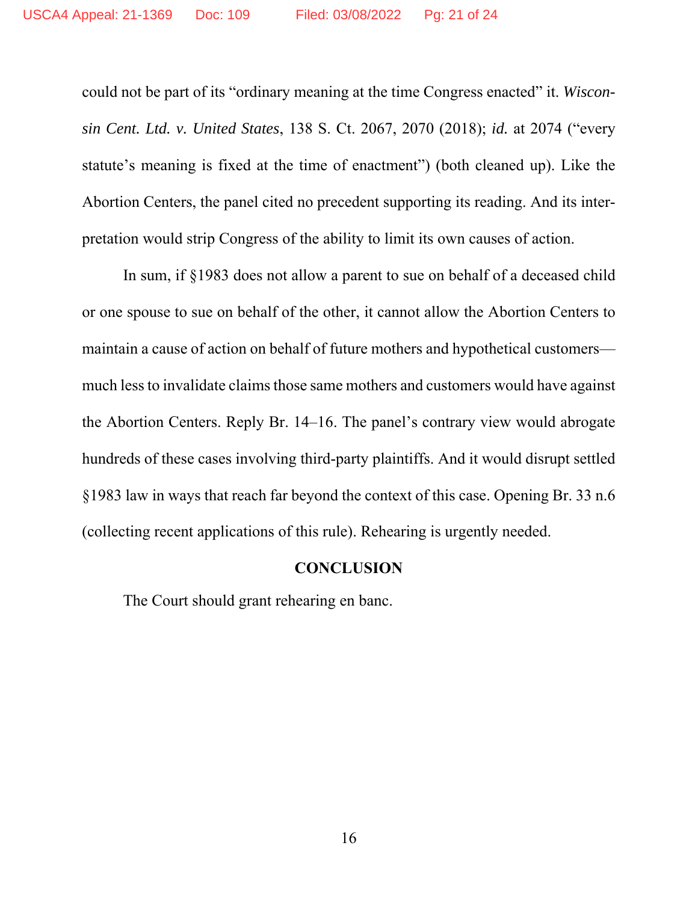could not be part of its "ordinary meaning at the time Congress enacted" it. *Wisconsin Cent. Ltd. v. United States*, 138 S. Ct. 2067, 2070 (2018); *id.* at 2074 ("every statute's meaning is fixed at the time of enactment") (both cleaned up). Like the Abortion Centers, the panel cited no precedent supporting its reading. And its interpretation would strip Congress of the ability to limit its own causes of action.

In sum, if §1983 does not allow a parent to sue on behalf of a deceased child or one spouse to sue on behalf of the other, it cannot allow the Abortion Centers to maintain a cause of action on behalf of future mothers and hypothetical customers much less to invalidate claims those same mothers and customers would have against the Abortion Centers. Reply Br. 14–16. The panel's contrary view would abrogate hundreds of these cases involving third-party plaintiffs. And it would disrupt settled §1983 law in ways that reach far beyond the context of this case. Opening Br. 33 n.6 (collecting recent applications of this rule). Rehearing is urgently needed.

#### **CONCLUSION**

The Court should grant rehearing en banc.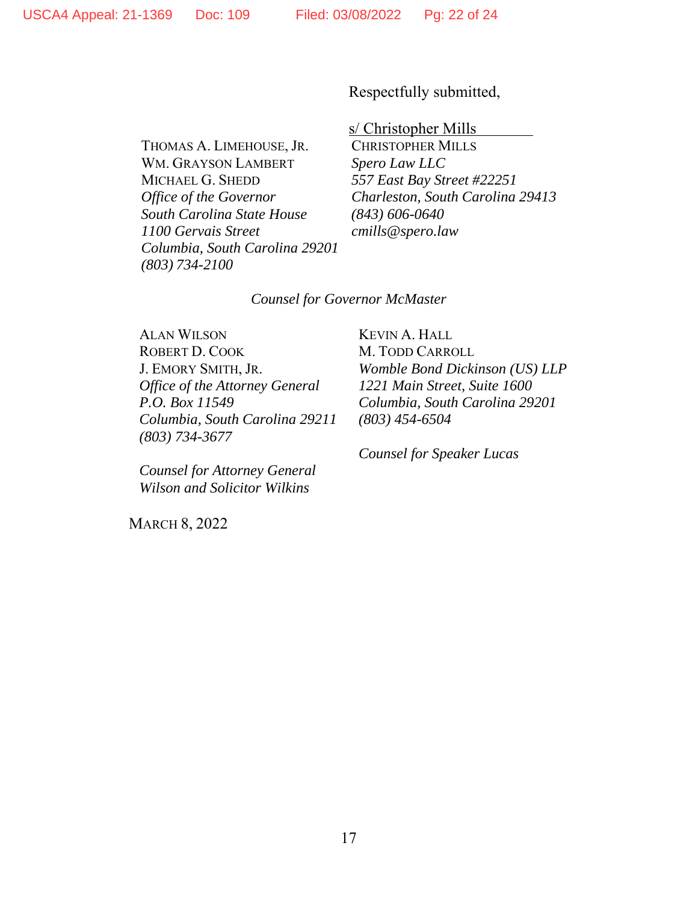Respectfully submitted,

s/ Christopher Mills

WM. GRAYSON LAMBERT *Spero Law LLC* MICHAEL G. SHEDD *557 East Bay Street #22251 South Carolina State House (843) 606-0640 1100 Gervais Street cmills@spero.law Columbia, South Carolina 29201 (803) 734-2100* 

THOMAS A. LIMEHOUSE, JR. CHRISTOPHER MILLS *Office of the Governor Charleston, South Carolina 29413* 

#### *Counsel for Governor McMaster*

ALAN WILSON KEVIN A. HALL ROBERT D. COOK M. TODD CARROLL *Office of the Attorney General 1221 Main Street, Suite 1600 Columbia, South Carolina 29211 (803) 454-6504 (803) 734-3677* 

*Counsel for Attorney General Wilson and Solicitor Wilkins* 

MARCH 8, 2022

J. EMORY SMITH, JR. *Womble Bond Dickinson (US) LLP P.O. Box 11549 Columbia, South Carolina 29201* 

 *Counsel for Speaker Lucas*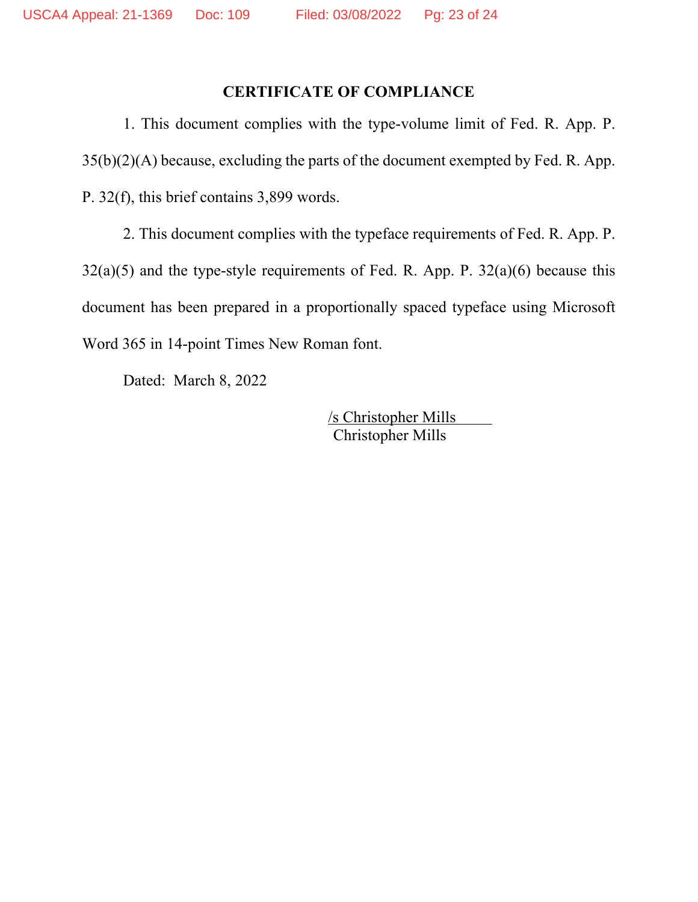### **CERTIFICATE OF COMPLIANCE**

1. This document complies with the type-volume limit of Fed. R. App. P. 35(b)(2)(A) because, excluding the parts of the document exempted by Fed. R. App. P. 32(f), this brief contains 3,899 words.

2. This document complies with the typeface requirements of Fed. R. App. P.  $32(a)(5)$  and the type-style requirements of Fed. R. App. P.  $32(a)(6)$  because this document has been prepared in a proportionally spaced typeface using Microsoft Word 365 in 14-point Times New Roman font.

Dated: March 8, 2022

 /s Christopher Mills Christopher Mills